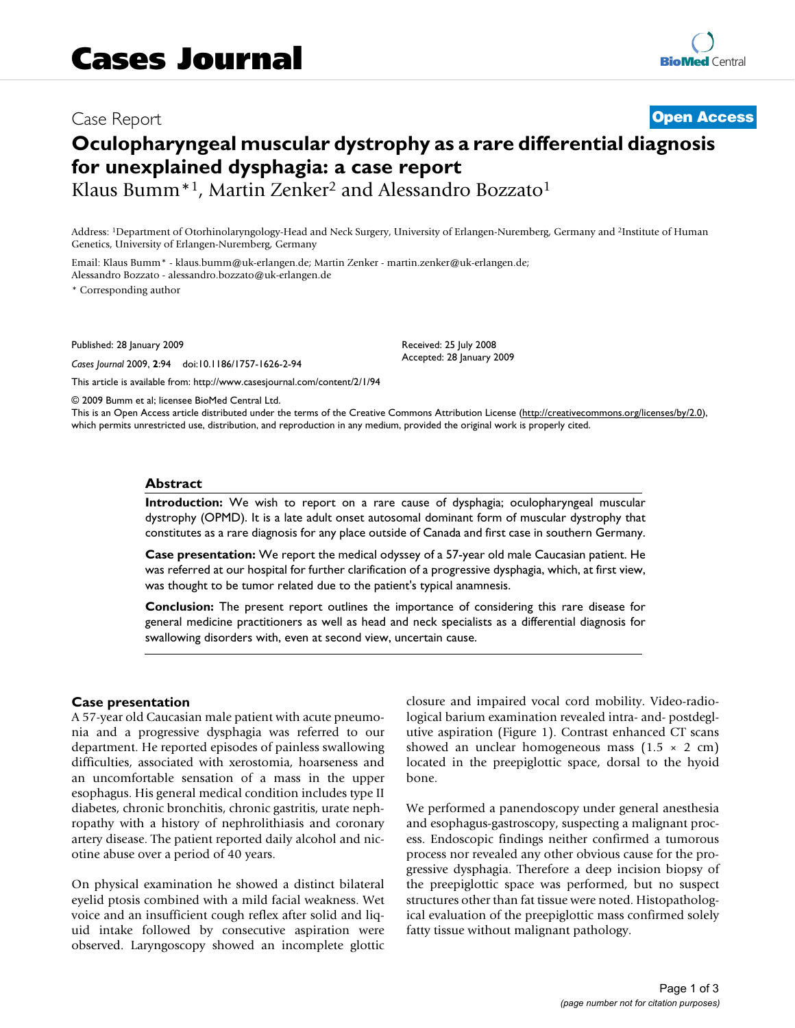# Case Report **[Open Access](http://www.biomedcentral.com/info/about/charter/) Oculopharyngeal muscular dystrophy as a rare differential diagnosis for unexplained dysphagia: a case report**

Klaus Bumm<sup>\*1</sup>, Martin Zenker<sup>2</sup> and Alessandro Bozzato<sup>1</sup>

Address: 1Department of Otorhinolaryngology-Head and Neck Surgery, University of Erlangen-Nuremberg, Germany and 2Institute of Human Genetics, University of Erlangen-Nuremberg, Germany

Email: Klaus Bumm\* - klaus.bumm@uk-erlangen.de; Martin Zenker - martin.zenker@uk-erlangen.de; Alessandro Bozzato - alessandro.bozzato@uk-erlangen.de

\* Corresponding author

Published: 28 January 2009

*Cases Journal* 2009, **2**:94 doi:10.1186/1757-1626-2-94

[This article is available from: http://www.casesjournal.com/content/2/1/94](http://www.casesjournal.com/content/2/1/94)

© 2009 Bumm et al; licensee BioMed Central Ltd.

This is an Open Access article distributed under the terms of the Creative Commons Attribution License [\(http://creativecommons.org/licenses/by/2.0\)](http://creativecommons.org/licenses/by/2.0), which permits unrestricted use, distribution, and reproduction in any medium, provided the original work is properly cited.

Received: 25 July 2008 Accepted: 28 January 2009

#### **Abstract**

**Introduction:** We wish to report on a rare cause of dysphagia; oculopharyngeal muscular dystrophy (OPMD). It is a late adult onset autosomal dominant form of muscular dystrophy that constitutes as a rare diagnosis for any place outside of Canada and first case in southern Germany.

**Case presentation:** We report the medical odyssey of a 57-year old male Caucasian patient. He was referred at our hospital for further clarification of a progressive dysphagia, which, at first view, was thought to be tumor related due to the patient's typical anamnesis.

**Conclusion:** The present report outlines the importance of considering this rare disease for general medicine practitioners as well as head and neck specialists as a differential diagnosis for swallowing disorders with, even at second view, uncertain cause.

#### **Case presentation**

A 57-year old Caucasian male patient with acute pneumonia and a progressive dysphagia was referred to our department. He reported episodes of painless swallowing difficulties, associated with xerostomia, hoarseness and an uncomfortable sensation of a mass in the upper esophagus. His general medical condition includes type II diabetes, chronic bronchitis, chronic gastritis, urate nephropathy with a history of nephrolithiasis and coronary artery disease. The patient reported daily alcohol and nicotine abuse over a period of 40 years.

On physical examination he showed a distinct bilateral eyelid ptosis combined with a mild facial weakness. Wet voice and an insufficient cough reflex after solid and liquid intake followed by consecutive aspiration were observed. Laryngoscopy showed an incomplete glottic closure and impaired vocal cord mobility. Video-radiological barium examination revealed intra- and- postdeglutive aspiration (Figure 1). Contrast enhanced CT scans showed an unclear homogeneous mass  $(1.5 \times 2$  cm) located in the preepiglottic space, dorsal to the hyoid bone.

We performed a panendoscopy under general anesthesia and esophagus-gastroscopy, suspecting a malignant process. Endoscopic findings neither confirmed a tumorous process nor revealed any other obvious cause for the progressive dysphagia. Therefore a deep incision biopsy of the preepiglottic space was performed, but no suspect structures other than fat tissue were noted. Histopathological evaluation of the preepiglottic mass confirmed solely fatty tissue without malignant pathology.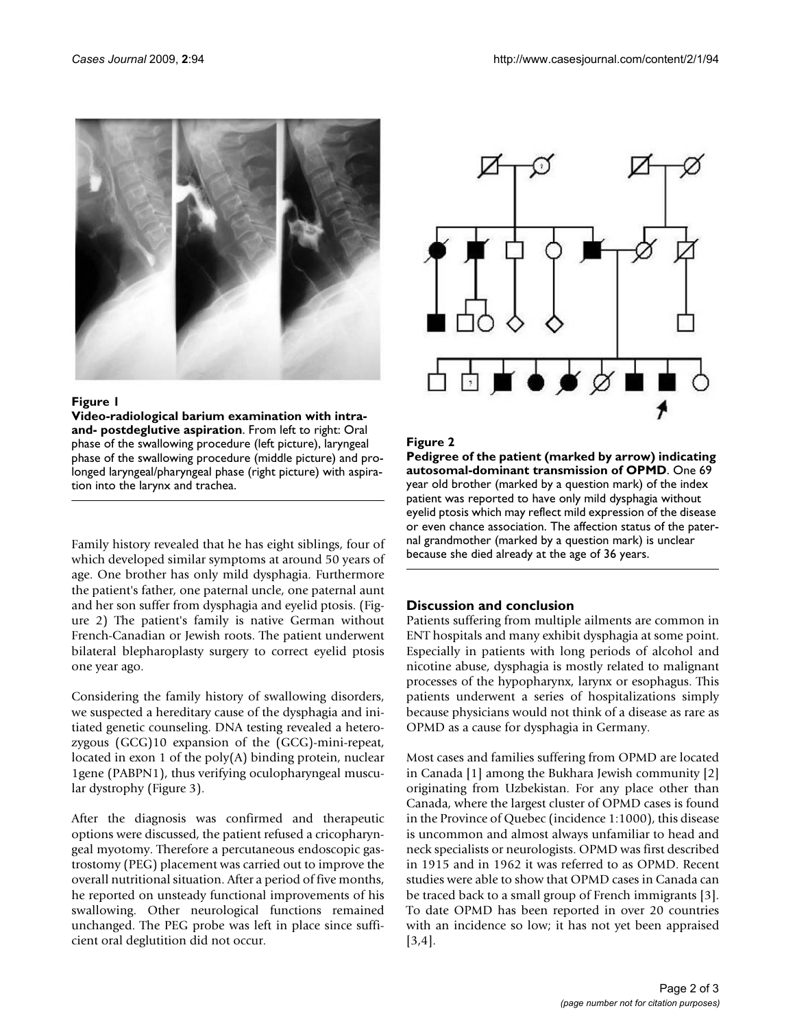

#### Figure 1

**Video-radiological barium examination with intraand- postdeglutive aspiration**. From left to right: Oral phase of the swallowing procedure (left picture), laryngeal phase of the swallowing procedure (middle picture) and prolonged laryngeal/pharyngeal phase (right picture) with aspiration into the larynx and trachea.

Family history revealed that he has eight siblings, four of which developed similar symptoms at around 50 years of age. One brother has only mild dysphagia. Furthermore the patient's father, one paternal uncle, one paternal aunt and her son suffer from dysphagia and eyelid ptosis. (Figure 2) The patient's family is native German without French-Canadian or Jewish roots. The patient underwent bilateral blepharoplasty surgery to correct eyelid ptosis one year ago.

Considering the family history of swallowing disorders, we suspected a hereditary cause of the dysphagia and initiated genetic counseling. DNA testing revealed a heterozygous (GCG)10 expansion of the (GCG)-mini-repeat, located in exon 1 of the poly(A) binding protein, nuclear 1gene (PABPN1), thus verifying oculopharyngeal muscular dystrophy (Figure 3).

After the diagnosis was confirmed and therapeutic options were discussed, the patient refused a cricopharyngeal myotomy. Therefore a percutaneous endoscopic gastrostomy (PEG) placement was carried out to improve the overall nutritional situation. After a period of five months, he reported on unsteady functional improvements of his swallowing. Other neurological functions remained unchanged. The PEG probe was left in place since sufficient oral deglutition did not occur.



# **Figure 2**

**Pedigree of the patient (marked by arrow) indicating autosomal-dominant transmission of OPMD**. One 69 year old brother (marked by a question mark) of the index patient was reported to have only mild dysphagia without eyelid ptosis which may reflect mild expression of the disease or even chance association. The affection status of the paternal grandmother (marked by a question mark) is unclear because she died already at the age of 36 years.

# **Discussion and conclusion**

Patients suffering from multiple ailments are common in ENT hospitals and many exhibit dysphagia at some point. Especially in patients with long periods of alcohol and nicotine abuse, dysphagia is mostly related to malignant processes of the hypopharynx, larynx or esophagus. This patients underwent a series of hospitalizations simply because physicians would not think of a disease as rare as OPMD as a cause for dysphagia in Germany.

Most cases and families suffering from OPMD are located in Canada [1] among the Bukhara Jewish community [2] originating from Uzbekistan. For any place other than Canada, where the largest cluster of OPMD cases is found in the Province of Quebec (incidence 1:1000), this disease is uncommon and almost always unfamiliar to head and neck specialists or neurologists. OPMD was first described in 1915 and in 1962 it was referred to as OPMD. Recent studies were able to show that OPMD cases in Canada can be traced back to a small group of French immigrants [3]. To date OPMD has been reported in over 20 countries with an incidence so low; it has not yet been appraised [3,4].